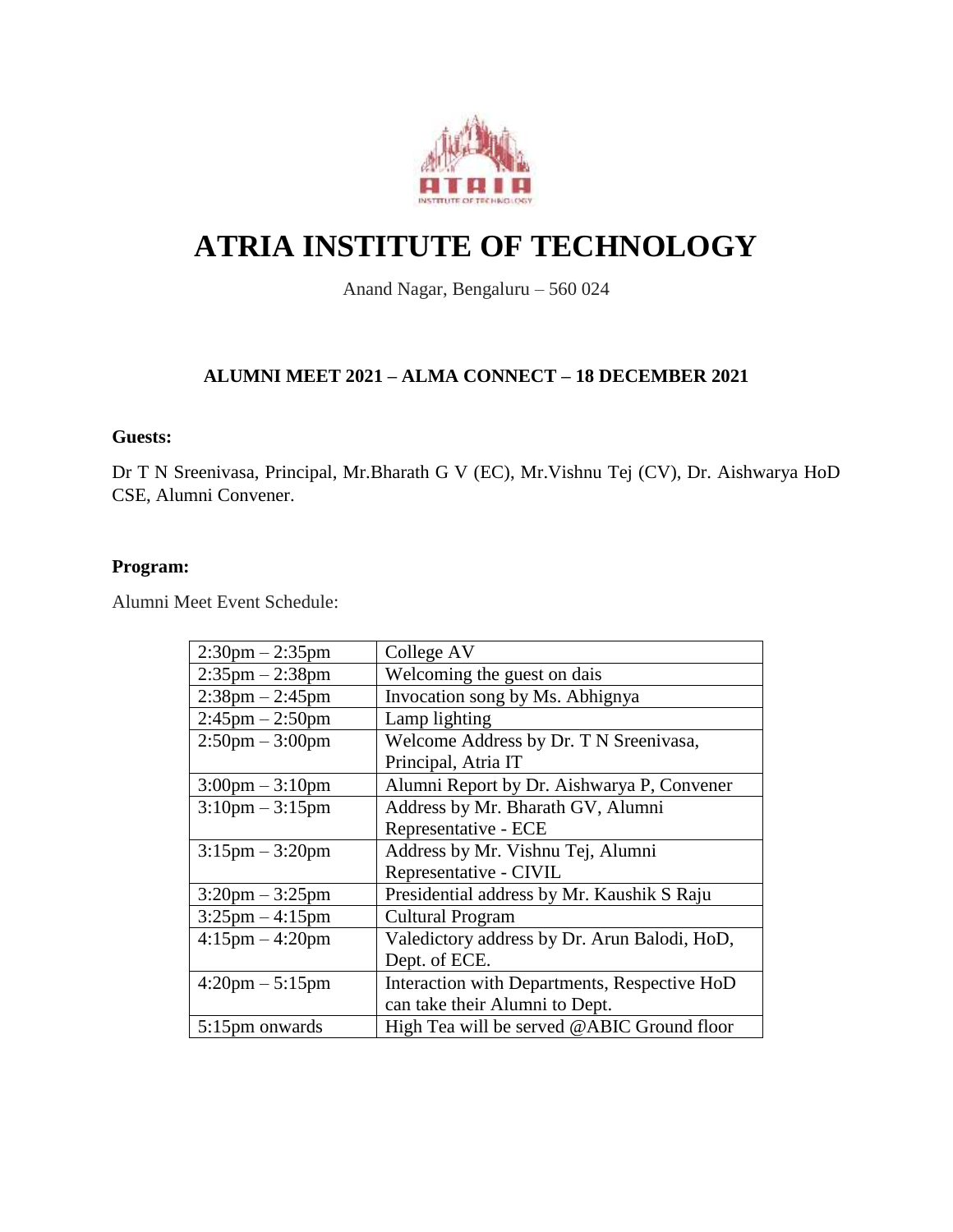

## **ATRIA INSTITUTE OF TECHNOLOGY**

Anand Nagar, Bengaluru – 560 024

## **ALUMNI MEET 2021 – ALMA CONNECT – 18 DECEMBER 2021**

## **Guests:**

Dr T N Sreenivasa, Principal, Mr.Bharath G V (EC), Mr.Vishnu Tej (CV), Dr. Aishwarya HoD CSE, Alumni Convener.

## **Program:**

Alumni Meet Event Schedule:

| $2:30 \text{pm} - 2:35 \text{pm}$ | College AV                                   |
|-----------------------------------|----------------------------------------------|
| $2:35$ pm $-2:38$ pm              | Welcoming the guest on dais                  |
| $2:38 \text{pm} - 2:45 \text{pm}$ | Invocation song by Ms. Abhignya              |
| $2:45$ pm $-2:50$ pm              | Lamp lighting                                |
| $2:50 \text{pm} - 3:00 \text{pm}$ | Welcome Address by Dr. T N Sreenivasa,       |
|                                   | Principal, Atria IT                          |
| $3:00 \text{pm} - 3:10 \text{pm}$ | Alumni Report by Dr. Aishwarya P, Convener   |
| $3:10 \text{pm} - 3:15 \text{pm}$ | Address by Mr. Bharath GV, Alumni            |
|                                   | Representative - ECE                         |
| $3:15$ pm $-3:20$ pm              | Address by Mr. Vishnu Tej, Alumni            |
|                                   | Representative - CIVIL                       |
| $3:20 \text{pm} - 3:25 \text{pm}$ | Presidential address by Mr. Kaushik S Raju   |
| $3:25 \text{pm} - 4:15 \text{pm}$ | <b>Cultural Program</b>                      |
| $4:15$ pm $-4:20$ pm              | Valedictory address by Dr. Arun Balodi, HoD, |
|                                   | Dept. of ECE.                                |
| $4:20 \text{pm} - 5:15 \text{pm}$ | Interaction with Departments, Respective HoD |
|                                   | can take their Alumni to Dept.               |
| 5:15pm onwards                    | High Tea will be served @ABIC Ground floor   |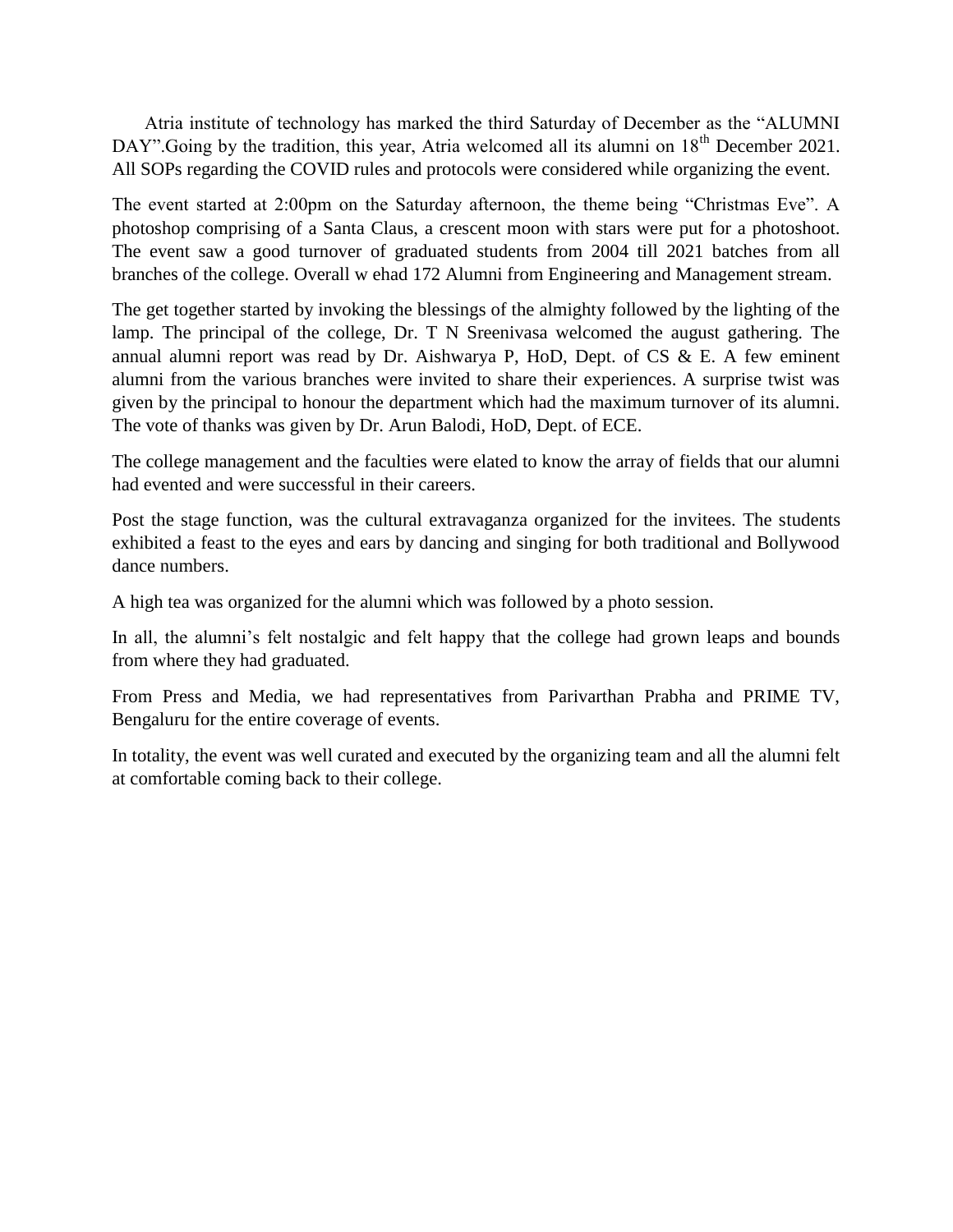Atria institute of technology has marked the third Saturday of December as the "ALUMNI DAY".Going by the tradition, this year, Atria welcomed all its alumni on 18<sup>th</sup> December 2021. All SOPs regarding the COVID rules and protocols were considered while organizing the event.

The event started at 2:00pm on the Saturday afternoon, the theme being "Christmas Eve". A photoshop comprising of a Santa Claus, a crescent moon with stars were put for a photoshoot. The event saw a good turnover of graduated students from 2004 till 2021 batches from all branches of the college. Overall w ehad 172 Alumni from Engineering and Management stream.

The get together started by invoking the blessings of the almighty followed by the lighting of the lamp. The principal of the college, Dr. T N Sreenivasa welcomed the august gathering. The annual alumni report was read by Dr. Aishwarya P, HoD, Dept. of CS & E. A few eminent alumni from the various branches were invited to share their experiences. A surprise twist was given by the principal to honour the department which had the maximum turnover of its alumni. The vote of thanks was given by Dr. Arun Balodi, HoD, Dept. of ECE.

The college management and the faculties were elated to know the array of fields that our alumni had evented and were successful in their careers.

Post the stage function, was the cultural extravaganza organized for the invitees. The students exhibited a feast to the eyes and ears by dancing and singing for both traditional and Bollywood dance numbers.

A high tea was organized for the alumni which was followed by a photo session.

In all, the alumni's felt nostalgic and felt happy that the college had grown leaps and bounds from where they had graduated.

From Press and Media, we had representatives from Parivarthan Prabha and PRIME TV, Bengaluru for the entire coverage of events.

In totality, the event was well curated and executed by the organizing team and all the alumni felt at comfortable coming back to their college.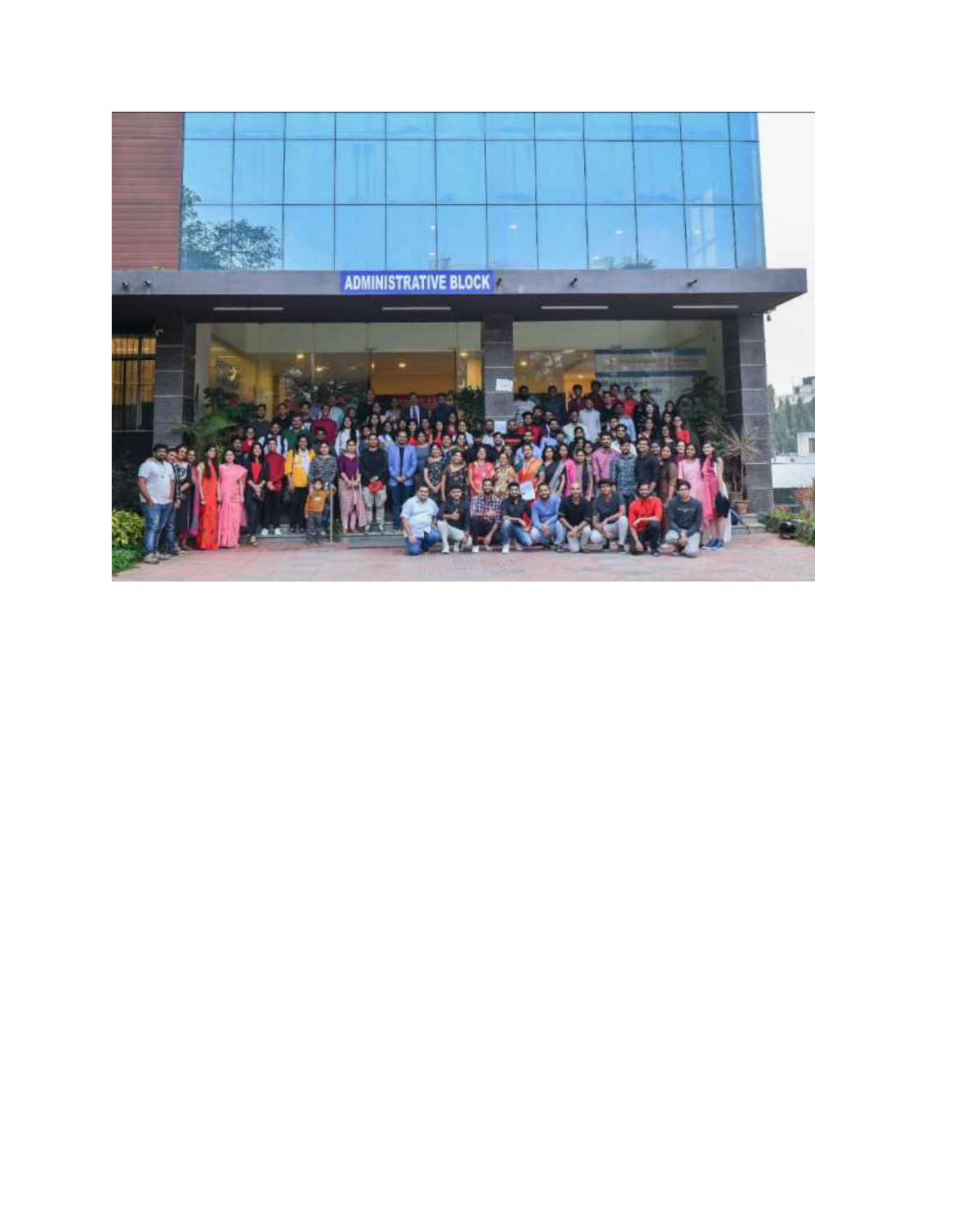